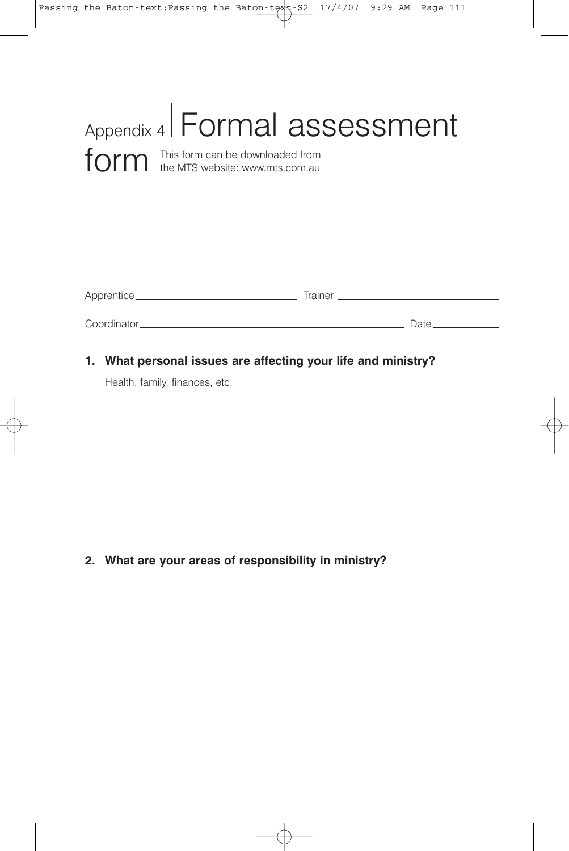| Appendix 4 Formal assessment                                             |
|--------------------------------------------------------------------------|
| form this form can be downloaded from<br>the MTS website: www.mts.com.au |

| Apprentice_  | Trainer |
|--------------|---------|
| Coordinator. | Date.   |

**1. What personal issues are affecting your life and ministry?**

Health, family, finances, etc.

## **2. What are your areas of responsibility in ministry?**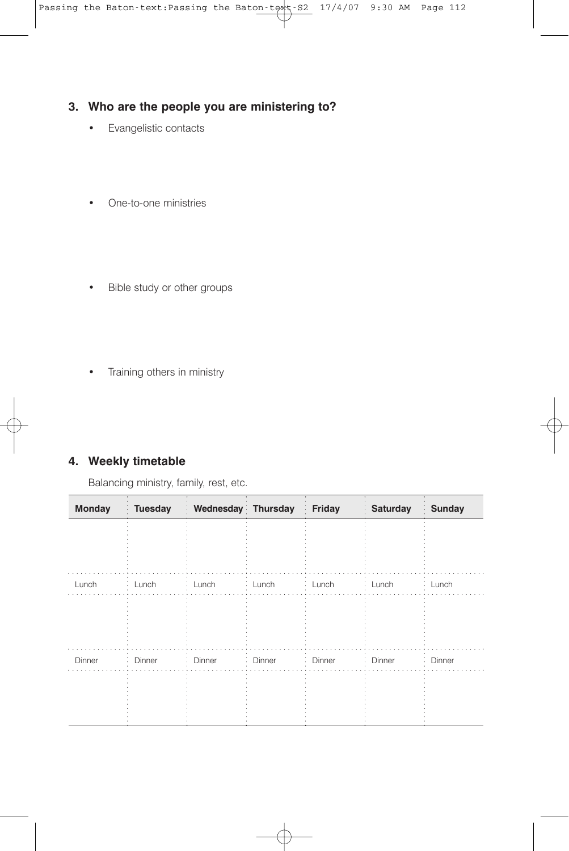#### **3. Who are the people you are ministering to?**

- Evangelistic contacts
- One-to-one ministries
- Bible study or other groups
- Training others in ministry

### **4. Weekly timetable**

Balancing ministry, family, rest, etc.

| <b>Monday</b> | <b>Tuesday</b> | Wednesday Thursday<br>k, |          | Friday   | <b>Saturday</b><br>$\epsilon$ | Sunday   |
|---------------|----------------|--------------------------|----------|----------|-------------------------------|----------|
|               |                |                          |          |          |                               |          |
|               |                |                          |          |          |                               |          |
| Lunch         | : Lunch        | : Lunch                  | : Lunch  | : Lunch  | : Lunch                       | : Lunch  |
|               |                |                          |          |          |                               |          |
|               |                |                          |          |          |                               |          |
| Dinner        | : Dinner       | Dinner<br>÷              | : Dinner | : Dinner | Dinner<br>÷.                  | : Dinner |
|               |                |                          |          |          |                               |          |
|               |                |                          |          |          |                               |          |
|               |                |                          |          |          |                               |          |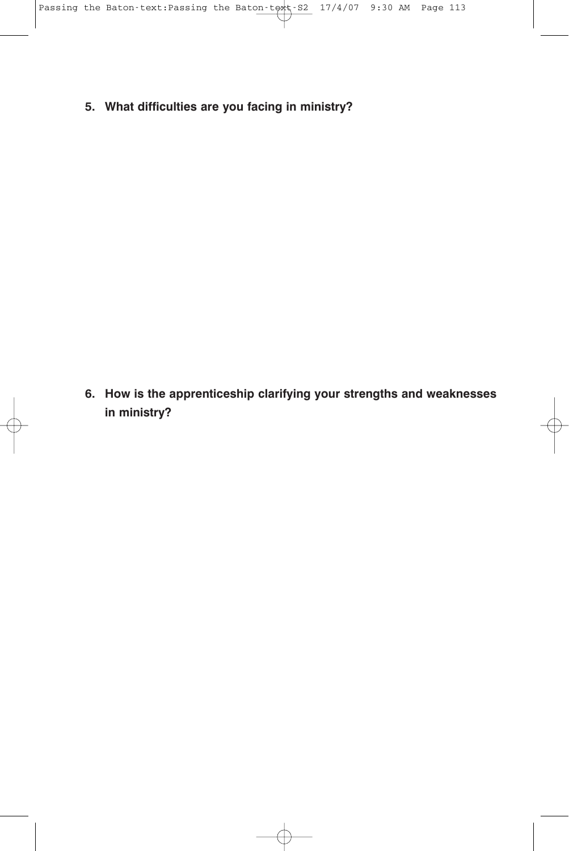**5. What difficulties are you facing in ministry?**

**6. How is the apprenticeship clarifying your strengths and weaknesses in ministry?**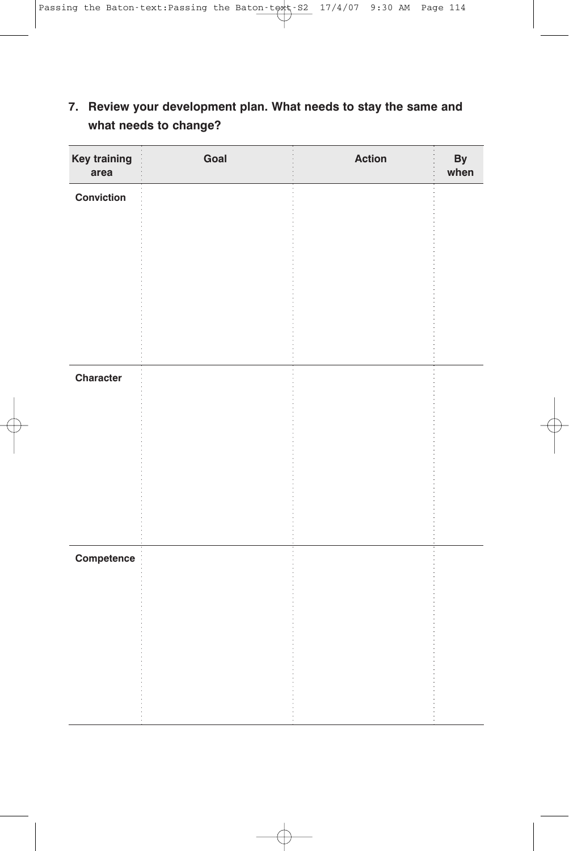| <b>Key training</b><br>area | Goal | <b>Action</b> | By<br>when |
|-----------------------------|------|---------------|------------|
| Conviction                  |      |               |            |
|                             |      |               |            |
|                             |      |               |            |
|                             |      |               |            |
|                             |      |               |            |
| Character                   |      |               |            |
|                             |      |               |            |
|                             |      |               |            |
|                             |      |               |            |
|                             |      |               |            |
| Competence                  |      |               |            |
|                             |      |               |            |
|                             |      |               |            |
|                             |      |               |            |
|                             |      |               |            |

# **7. Review your development plan. What needs to stay the same and what needs to change?**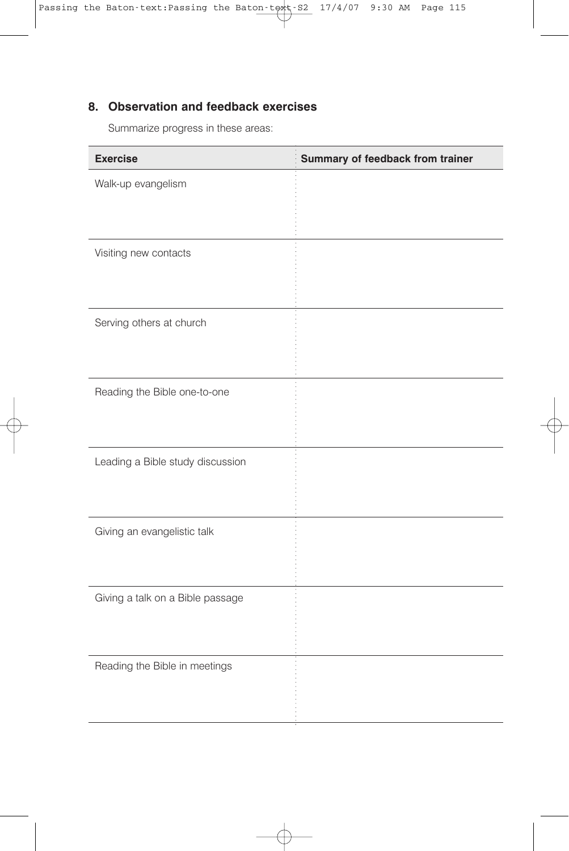## **8. Observation and feedback exercises**

Summarize progress in these areas:

| <b>Exercise</b>                  | Summary of feedback from trainer |
|----------------------------------|----------------------------------|
| Walk-up evangelism               |                                  |
|                                  |                                  |
| Visiting new contacts            |                                  |
|                                  |                                  |
| Serving others at church         |                                  |
|                                  |                                  |
| Reading the Bible one-to-one     |                                  |
|                                  |                                  |
| Leading a Bible study discussion |                                  |
|                                  |                                  |
| Giving an evangelistic talk      |                                  |
|                                  |                                  |
| Giving a talk on a Bible passage |                                  |
|                                  |                                  |
| Reading the Bible in meetings    |                                  |
|                                  |                                  |
|                                  |                                  |